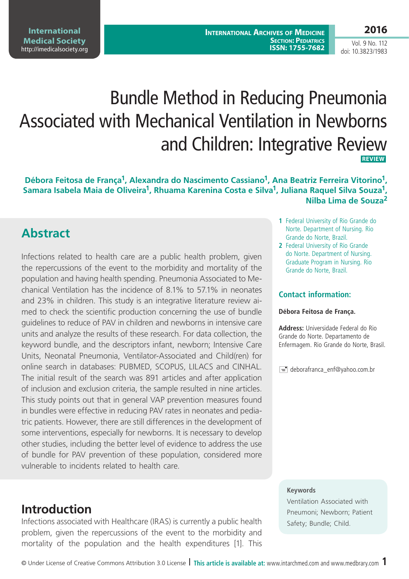**International Archives of Medicine SECTION: PEDIATRICS ISSN: 1755-7682**

#### **2016**

Vol. 9 No. 112 doi: 10.3823/1983

# Bundle Method in Reducing Pneumonia Associated with Mechanical Ventilation in Newborns and Children: Integrative Review  **REVIEW**

**Débora Feitosa de França1, Alexandra do Nascimento Cassiano1, Ana Beatriz Ferreira Vitorino1,**  Samara Isabela Maia de Oliveira<sup>1</sup>, Rhuama Karenina Costa e Silva<sup>1</sup>, Juliana Raquel Silva Souza<sup>1</sup>, **Nilba Lima de Souza2**

# **Abstract**

Infections related to health care are a public health problem, given the repercussions of the event to the morbidity and mortality of the population and having health spending. Pneumonia Associated to Mechanical Ventilation has the incidence of 8.1% to 57.1% in neonates and 23% in children. This study is an integrative literature review aimed to check the scientific production concerning the use of bundle guidelines to reduce of PAV in children and newborns in intensive care units and analyze the results of these research. For data collection, the keyword bundle, and the descriptors infant, newborn; Intensive Care Units, Neonatal Pneumonia, Ventilator-Associated and Child(ren) for online search in databases: PUBMED, SCOPUS, LILACS and CINHAL. The initial result of the search was 891 articles and after application of inclusion and exclusion criteria, the sample resulted in nine articles. This study points out that in general VAP prevention measures found in bundles were effective in reducing PAV rates in neonates and pediatric patients. However, there are still differences in the development of some interventions, especially for newborns. It is necessary to develop other studies, including the better level of evidence to address the use of bundle for PAV prevention of these population, considered more vulnerable to incidents related to health care.

# **Introduction**

Infections associated with Healthcare (IRAS) is currently a public health problem, given the repercussions of the event to the morbidity and mortality of the population and the health expenditures [1]. This

- **1** Federal University of Rio Grande do Norte. Department of Nursing. Rio Grande do Norte, Brazil.
- **2** Federal University of Rio Grande do Norte. Department of Nursing. Graduate Program in Nursing. Rio Grande do Norte, Brazil.

#### **Contact information:**

#### **Débora Feitosa de França.**

**Address:** Universidade Federal do Rio Grande do Norte. Departamento de Enfermagem. Rio Grande do Norte, Brasil.

edeborafranca\_enf@yahoo.com.br

#### **Keywords**

Ventilation Associated with Pneumoni; Newborn; Patient Safety; Bundle; Child.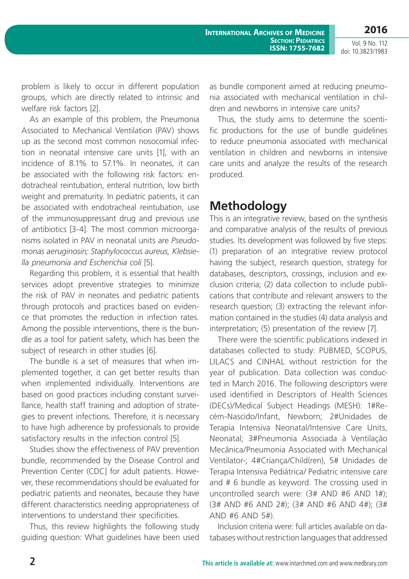**International Archives of Medicine SECTION: PEDIATRICS 2016**

**ISSN: 1755-7682**

Vol. 9 No. 112 doi: 10.3823/1983

problem is likely to occur in different population groups, which are directly related to intrinsic and welfare risk factors [2].

As an example of this problem, the Pneumonia Associated to Mechanical Ventilation (PAV) shows up as the second most common nosocomial infection in neonatal intensive care units [1], with an incidence of 8.1% to 57.1%. In neonates, it can be associated with the following risk factors: endotracheal reintubation, enteral nutrition, low birth weight and prematurity. In pediatric patients, it can be associated with endotracheal reintubation, use of the immunosuppressant drug and previous use of antibiotics [3-4]. The most common microorganisms isolated in PAV in neonatal units are *Pseudomonas aeruginosin; Staphylococcus aureus, Klebsiella pneumonia and Escherichia coli* [5].

Regarding this problem, it is essential that health services adopt preventive strategies to minimize the risk of PAV in neonates and pediatric patients through protocols and practices based on evidence that promotes the reduction in infection rates. Among the possible interventions, there is the bundle as a tool for patient safety, which has been the subject of research in other studies [6].

The bundle is a set of measures that when implemented together, it can get better results than when implemented individually. Interventions are based on good practices including constant surveillance, health staff training and adoption of strategies to prevent infections. Therefore, it is necessary to have high adherence by professionals to provide satisfactory results in the infection control [5].

Studies show the effectiveness of PAV prevention bundle, recommended by the Disease Control and Prevention Center (CDC] for adult patients. However, these recommendations should be evaluated for pediatric patients and neonates, because they have different characteristics needing appropriateness of interventions to understand their specificities.

Thus, this review highlights the following study guiding question: What guidelines have been used as bundle component aimed at reducing pneumonia associated with mechanical ventilation in children and newborns in intensive care units?

Thus, the study aims to determine the scientific productions for the use of bundle guidelines to reduce pneumonia associated with mechanical ventilation in children and newborns in intensive care units and analyze the results of the research produced.

### **Methodology**

This is an integrative review, based on the synthesis and comparative analysis of the results of previous studies. Its development was followed by five steps: (1) preparation of an integrative review protocol having the subject, research question, strategy for databases, descriptors, crossings, inclusion and exclusion criteria; (2) data collection to include publications that contribute and relevant answers to the research question; (3) extracting the relevant information contained in the studies (4) data analysis and interpretation; (5) presentation of the review [7].

There were the scientific publications indexed in databases collected to study: PUBMED, SCOPUS, LILACS and CINHAL without restriction for the year of publication. Data collection was conducted in March 2016. The following descriptors were used identified in Descriptors of Health Sciences (DECs)/Medical Subject Headings (MESH): 1#Recém-Nascido/Infant, Newborn; 2#Unidades de Terapia Intensiva Neonatal/Intensive Care Units, Neonatal; 3#Pneumonia Associada à Ventilação Mecânica/Pneumonia Associated with Mechanical Ventilator-; 4#Criança/Child(ren), 5# Unidades de Terapia Intensiva Pediátrica/ Pediatric intensive care and # 6 bundle as keyword. The crossing used in uncontrolled search were: (3# AND #6 AND 1#); (3# AND #6 AND 2#); (3# AND #6 AND 4#); (3# AND #6 AND 5#).

Inclusion criteria were: full articles available on databases without restriction languages that addressed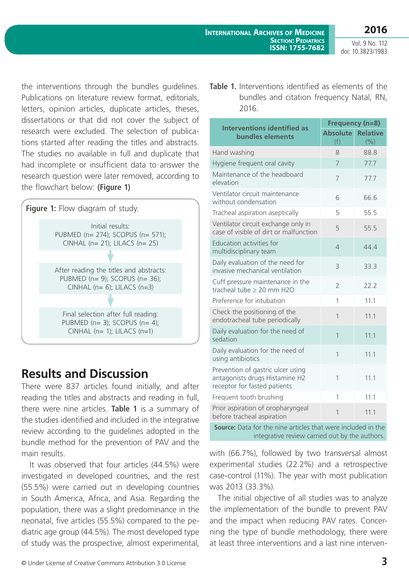the interventions through the bundles guidelines. Publications on literature review format, editorials, letters, opinion articles, duplicate articles, theses, dissertations or that did not cover the subject of research were excluded. The selection of publications started after reading the titles and abstracts. The studies no available in full and duplicate that had incomplete or insufficient data to answer the research question were later removed, according to the flowchart below: **(Figure 1)**



# **Results and Discussion**

There were 837 articles found initially, and after reading the titles and abstracts and reading in full, there were nine articles. **Table 1** is a summary of the studies identified and included in the integrative review according to the guidelines adopted in the bundle method for the prevention of PAV and the main results.

It was observed that four articles (44.5%) were investigated in developed countries, and the rest (55.5%) were carried out in developing countries in South America, Africa, and Asia. Regarding the population, there was a slight predominance in the neonatal, five articles (55.5%) compared to the pediatric age group (44.5%). The most developed type of study was the prospective, almost experimental,

**Table 1.** Interventions identified as elements of the bundles and citation frequency Natal, RN, 2016.

| <b>Interventions identified as</b>                                                                  | Frequency (n=8)        |                          |  |  |
|-----------------------------------------------------------------------------------------------------|------------------------|--------------------------|--|--|
| bundles elements                                                                                    | <b>Absolute</b><br>(f) | <b>Relative</b><br>(9/0) |  |  |
| Hand washing                                                                                        | 8                      | 88.8                     |  |  |
| Hygiene frequent oral cavity                                                                        | 7                      | 77.7                     |  |  |
| Maintenance of the headboard<br>elevation                                                           | 7                      | 77.7                     |  |  |
| Ventilator circuit maintenance<br>without condensation                                              | 6                      | 66.6                     |  |  |
| Tracheal aspiration aseptically                                                                     | 5                      | 55.5                     |  |  |
| Ventilator circuit exchange only in<br>case of visible of dirt or malfunction                       | 5                      | 55.5                     |  |  |
| Education activities for<br>multidisciplinary team                                                  | $\overline{4}$         | 44.4                     |  |  |
| Daily evaluation of the need for<br>invasive mechanical ventilation                                 | 3                      | 33.3                     |  |  |
| Cuff pressure maintenance in the<br>tracheal tube $\geq 20$ mm H2O                                  | $\overline{2}$         | 22.2                     |  |  |
| Preference for intubation                                                                           | 1                      | 11.1                     |  |  |
| Check the positioning of the<br>endotracheal tube periodically                                      | 1                      | 11.1                     |  |  |
| Daily evaluation for the need of<br>sedation                                                        | $\mathbf{1}$           | 11.1                     |  |  |
| Daily evaluation for the need of<br>using antibiotics                                               | $\overline{1}$         | 11.1                     |  |  |
| Prevention of gastric ulcer using<br>antagonists drugs Histamine H2<br>receptor for fasted patients | 1                      | 11.1                     |  |  |
| Frequent tooth brushing                                                                             | 1                      | 11.1                     |  |  |
| Prior aspiration of oropharyngeal<br>before tracheal aspiration                                     | $\overline{1}$         | 11.1                     |  |  |
| Source: Data for the nine articles that were included in the                                        |                        |                          |  |  |

integrative review carried out by the authors.

with (66.7%), followed by two transversal almost experimental studies (22.2%) and a retrospective case-control (11%). The year with most publication was 2013 (33.3%).

The initial objective of all studies was to analyze the implementation of the bundle to prevent PAV and the impact when reducing PAV rates. Concerning the type of bundle methodology, there were at least three interventions and a last nine interven-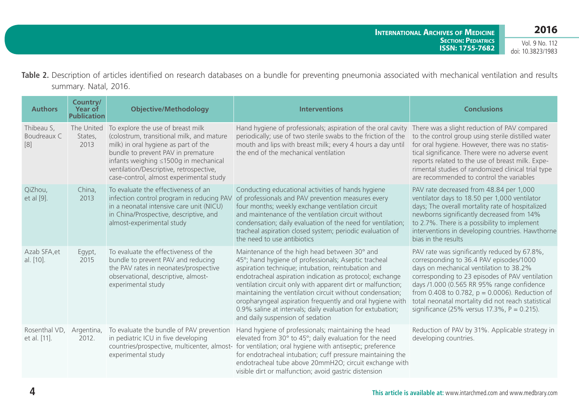Table 2. Description of articles identified on research databases on a bundle for preventing pneumonia associated with mechanical ventilation and results summary. Natal, 2016.

| <b>Authors</b>                                 | Country/<br><b>Year of</b><br><b>Publication</b> | <b>Objective/Methodology</b>                                                                                                                                                                                                                                                                | <b>Interventions</b>                                                                                                                                                                                                                                                                                                                                                                                                                                                                                              | <b>Conclusions</b>                                                                                                                                                                                                                                                                                                                                                                               |
|------------------------------------------------|--------------------------------------------------|---------------------------------------------------------------------------------------------------------------------------------------------------------------------------------------------------------------------------------------------------------------------------------------------|-------------------------------------------------------------------------------------------------------------------------------------------------------------------------------------------------------------------------------------------------------------------------------------------------------------------------------------------------------------------------------------------------------------------------------------------------------------------------------------------------------------------|--------------------------------------------------------------------------------------------------------------------------------------------------------------------------------------------------------------------------------------------------------------------------------------------------------------------------------------------------------------------------------------------------|
| Thibeau S,<br>Boudreaux C<br>$\lceil 8 \rceil$ | The United<br>States,<br>2013                    | To explore the use of breast milk<br>(colostrum, transitional milk, and mature<br>milk) in oral hygiene as part of the<br>bundle to prevent PAV in premature<br>infants weighing ≤1500g in mechanical<br>ventilation/Descriptive, retrospective,<br>case-control, almost experimental study | Hand hygiene of professionals; aspiration of the oral cavity<br>periodically; use of two sterile swabs to the friction of the<br>mouth and lips with breast milk; every 4 hours a day until<br>the end of the mechanical ventilation                                                                                                                                                                                                                                                                              | There was a slight reduction of PAV compared<br>to the control group using sterile distilled water<br>for oral hygiene. However, there was no statis-<br>tical significance. There were no adverse event<br>reports related to the use of breast milk. Expe-<br>rimental studies of randomized clinical trial type<br>are recommended to control the variables                                   |
| QiZhou,<br>et al [9].                          | China,<br>2013                                   | To evaluate the effectiveness of an<br>infection control program in reducing PAV<br>in a neonatal intensive care unit (NICU)<br>in China/Prospective, descriptive, and<br>almost-experimental study                                                                                         | Conducting educational activities of hands hygiene<br>of professionals and PAV prevention measures every<br>four months; weekly exchange ventilation circuit<br>and maintenance of the ventilation circuit without<br>condensation; daily evaluation of the need for ventilation;<br>tracheal aspiration closed system; periodic evaluation of<br>the need to use antibiotics                                                                                                                                     | PAV rate decreased from 48.84 per 1,000<br>ventilator days to 18.50 per 1,000 ventilator<br>days; The overall mortality rate of hospitalized<br>newborns significantly decreased from 14%<br>to 2.7%. There is a possibility to implement<br>interventions in developing countries. Hawthorne<br>bias in the results                                                                             |
| Azab SFA, et<br>al. [10].                      | Egypt,<br>2015                                   | To evaluate the effectiveness of the<br>bundle to prevent PAV and reducing<br>the PAV rates in neonates/prospective<br>observational, descriptive, almost-<br>experimental study                                                                                                            | Maintenance of the high head between 30° and<br>45°; hand hygiene of professionals; Aseptic tracheal<br>aspiration technique; intubation, reintubation and<br>endotracheal aspiration indication as protocol; exchange<br>ventilation circuit only with apparent dirt or malfunction;<br>maintaining the ventilation circuit without condensation;<br>oropharyngeal aspiration frequently and oral hygiene with<br>0.9% saline at intervals; daily evaluation for extubation;<br>and daily suspension of sedation | PAV rate was significantly reduced by 67.8%,<br>corresponding to 36.4 PAV episodes/1000<br>days on mechanical ventilation to 38.2%<br>corresponding to 23 episodes of PAV ventilation<br>days /1.000 (0.565 RR 95% range confidence<br>from 0.408 to 0.782, $p = 0.0006$ ). Reduction of<br>total neonatal mortality did not reach statistical<br>significance (25% versus 17.3%, $P = 0.215$ ). |
| Rosenthal VD,<br>et al. [11].                  | Argentina,<br>2012.                              | To evaluate the bundle of PAV prevention<br>in pediatric ICU in five developing<br>experimental study                                                                                                                                                                                       | Hand hygiene of professionals; maintaining the head<br>elevated from 30° to 45°; daily evaluation for the need<br>countries/prospective, multicenter, almost- for ventilation; oral hygiene with antiseptic; preference<br>for endotracheal intubation; cuff pressure maintaining the<br>endotracheal tube above 20mmH2O; circuit exchange with<br>visible dirt or malfunction; avoid gastric distension                                                                                                          | Reduction of PAV by 31%. Applicable strategy in<br>developing countries.                                                                                                                                                                                                                                                                                                                         |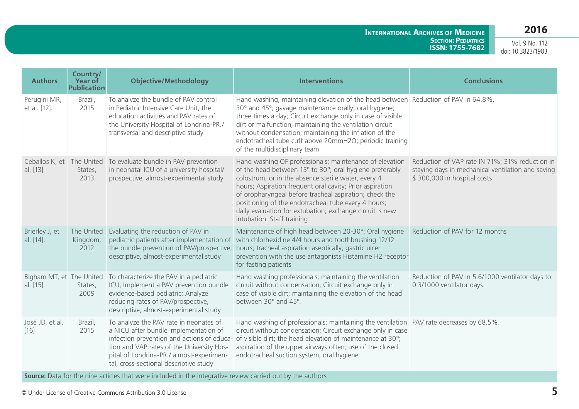#### **2016**

**International Archives of Medicine Section: Pediatrics ISSN: 1755-7682**

Vol. 9 No. 112 doi: 10.3823/1983

| Country/<br>Year of                          | <b>Objective/Methodology</b>                                                                                                                                                                                                                                     | <b>Interventions</b>                                                                                                                                                                                                                                                                                                                                                                                                                             | <b>Conclusions</b>                                                                                                                                           |
|----------------------------------------------|------------------------------------------------------------------------------------------------------------------------------------------------------------------------------------------------------------------------------------------------------------------|--------------------------------------------------------------------------------------------------------------------------------------------------------------------------------------------------------------------------------------------------------------------------------------------------------------------------------------------------------------------------------------------------------------------------------------------------|--------------------------------------------------------------------------------------------------------------------------------------------------------------|
| Brazil,<br>2015                              | To analyze the bundle of PAV control<br>in Pediatric Intensive Care Unit, the<br>education activities and PAV rates of<br>the University Hospital of Londrina-PR./<br>transversal and descriptive study                                                          | Hand washing, maintaining elevation of the head between Reduction of PAV in 64.8%.<br>30° and 45°; gavage maintenance orally; oral hygiene,<br>three times a day; Circuit exchange only in case of visible<br>dirt or malfunction; maintaining the ventilation circuit<br>without condensation; maintaining the inflation of the<br>endotracheal tube cuff above 20mmH2O; periodic training<br>of the multidisciplinary team                     |                                                                                                                                                              |
| Ceballos K, et The United<br>States,<br>2013 | in neonatal ICU of a university hospital/<br>prospective, almost-experimental study                                                                                                                                                                              | Hand washing OF professionals; maintenance of elevation<br>of the head between 15° to 30°; oral hygiene preferably<br>colostrum, or in the absence sterile water, every 4<br>hours; Aspiration frequent oral cavity; Prior aspiration<br>of oropharyngeal before tracheal aspiration; check the<br>positioning of the endotracheal tube every 4 hours;<br>daily evaluation for extubation; exchange circuit is new<br>intubation. Staff training | Reduction of VAP rate IN 71%; 31% reduction in<br>staying days in mechanical ventilation and saving<br>\$300,000 in hospital costs                           |
| Kingdom,<br>2012                             | pediatric patients after implementation of<br>the bundle prevention of PAV/prospective,<br>descriptive, almost-experimental study                                                                                                                                | Maintenance of high head between 20-30°; Oral hygiene<br>with chlorhexidine 4/4 hours and toothbrushing 12/12<br>hours; tracheal aspiration aseptically; gastric ulcer<br>prevention with the use antagonists Histamine H2 receptor<br>for fasting patients                                                                                                                                                                                      | Reduction of PAV for 12 months                                                                                                                               |
| States,<br>2009                              | ICU; Implement a PAV prevention bundle<br>evidence-based pediatric; Analyze<br>reducing rates of PAV/prospective,<br>descriptive, almost-experimental study                                                                                                      | Hand washing professionals; maintaining the ventilation<br>circuit without condensation; Circuit exchange only in<br>case of visible dirt; maintaining the elevation of the head<br>between 30° and 45°.                                                                                                                                                                                                                                         | Reduction of PAV in 5.6/1000 ventilator days to<br>0.3/1000 ventilator days.                                                                                 |
| Brazil,<br>2015                              | To analyze the PAV rate in neonates of<br>a NICU after bundle implementation of<br>infection prevention and actions of educa-<br>tion and VAP rates of the University Hos-<br>pital of Londrina-PR./ almost-experimen-<br>tal, cross-sectional descriptive study | Hand washing of professionals; maintaining the ventilation PAV rate decreases by 68.5%.<br>circuit without condensation; Circuit exchange only in case<br>of visible dirt; the head elevation of maintenance at 30°;<br>aspiration of the upper airways often; use of the closed<br>endotracheal suction system, oral hygiene                                                                                                                    |                                                                                                                                                              |
|                                              |                                                                                                                                                                                                                                                                  | <b>Publication</b><br>To evaluate bundle in PAV prevention<br>The United Evaluating the reduction of PAV in<br>Bigham MT, et The United To characterize the PAV in a pediatric                                                                                                                                                                                                                                                                   | and the control of the control of the control of the control of the control of the control of the control of the<br>the contract of the contract and a state |

**Source:** Data for the nine articles that were included in the integrative review carried out by the authors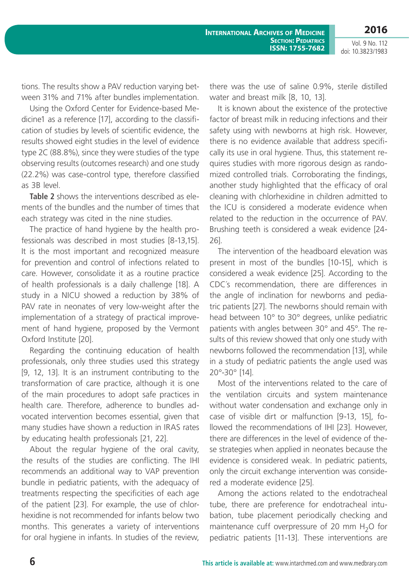tions. The results show a PAV reduction varying between 31% and 71% after bundles implementation.

Using the Oxford Center for Evidence-based Medicine1 as a reference [17], according to the classification of studies by levels of scientific evidence, the results showed eight studies in the level of evidence type 2C (88.8%), since they were studies of the type observing results (outcomes research) and one study (22.2%) was case-control type, therefore classified as 3B level.

**Table 2** shows the interventions described as elements of the bundles and the number of times that each strategy was cited in the nine studies.

The practice of hand hygiene by the health professionals was described in most studies [8-13,15]. It is the most important and recognized measure for prevention and control of infections related to care. However, consolidate it as a routine practice of health professionals is a daily challenge [18]. A study in a NICU showed a reduction by 38% of PAV rate in neonates of very low-weight after the implementation of a strategy of practical improvement of hand hygiene, proposed by the Vermont Oxford Institute [20].

Regarding the continuing education of health professionals, only three studies used this strategy [9, 12, 13]. It is an instrument contributing to the transformation of care practice, although it is one of the main procedures to adopt safe practices in health care. Therefore, adherence to bundles advocated intervention becomes essential, given that many studies have shown a reduction in IRAS rates by educating health professionals [21, 22].

About the regular hygiene of the oral cavity, the results of the studies are conflicting. The IHI recommends an additional way to VAP prevention bundle in pediatric patients, with the adequacy of treatments respecting the specificities of each age of the patient [23]. For example, the use of chlorhexidine is not recommended for infants below two months. This generates a variety of interventions for oral hygiene in infants. In studies of the review, there was the use of saline 0.9%, sterile distilled water and breast milk [8, 10, 13].

It is known about the existence of the protective factor of breast milk in reducing infections and their safety using with newborns at high risk. However, there is no evidence available that address specifically its use in oral hygiene. Thus, this statement requires studies with more rigorous design as randomized controlled trials. Corroborating the findings, another study highlighted that the efficacy of oral cleaning with chlorhexidine in children admitted to the ICU is considered a moderate evidence when related to the reduction in the occurrence of PAV. Brushing teeth is considered a weak evidence [24- 26].

The intervention of the headboard elevation was present in most of the bundles [10-15], which is considered a weak evidence [25]. According to the CDC´s recommendation, there are differences in the angle of inclination for newborns and pediatric patients [27]. The newborns should remain with head between 10° to 30° degrees, unlike pediatric patients with angles between 30° and 45°. The results of this review showed that only one study with newborns followed the recommendation [13], while in a study of pediatric patients the angle used was 20°-30° [14].

Most of the interventions related to the care of the ventilation circuits and system maintenance without water condensation and exchange only in case of visible dirt or malfunction [9-13, 15], followed the recommendations of IHI [23]. However, there are differences in the level of evidence of these strategies when applied in neonates because the evidence is considered weak. In pediatric patients, only the circuit exchange intervention was considered a moderate evidence [25].

Among the actions related to the endotracheal tube, there are preference for endotracheal intubation, tube placement periodically checking and maintenance cuff overpressure of 20 mm  $H_2O$  for pediatric patients [11-13]. These interventions are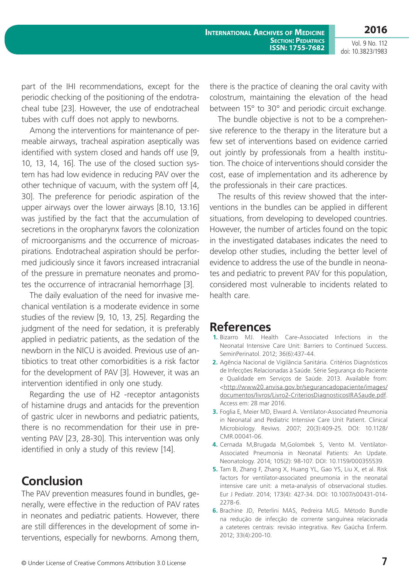part of the IHI recommendations, except for the periodic checking of the positioning of the endotracheal tube [23]. However, the use of endotracheal tubes with cuff does not apply to newborns.

Among the interventions for maintenance of permeable airways, tracheal aspiration aseptically was identified with system closed and hands off use [9, 10, 13, 14, 16]. The use of the closed suction system has had low evidence in reducing PAV over the other technique of vacuum, with the system off [4, 30]. The preference for periodic aspiration of the upper airways over the lower airways [8.10, 13.16] was justified by the fact that the accumulation of secretions in the oropharynx favors the colonization of microorganisms and the occurrence of microaspirations. Endotracheal aspiration should be performed judiciously since it favors increased intracranial of the pressure in premature neonates and promotes the occurrence of intracranial hemorrhage [3].

The daily evaluation of the need for invasive mechanical ventilation is a moderate evidence in some studies of the review [9, 10, 13, 25]. Regarding the judgment of the need for sedation, it is preferably applied in pediatric patients, as the sedation of the newborn in the NICU is avoided. Previous use of antibiotics to treat other comorbidities is a risk factor for the development of PAV [3]. However, it was an intervention identified in only one study.

Regarding the use of H2 -receptor antagonists of histamine drugs and antacids for the prevention of gastric ulcer in newborns and pediatric patients, there is no recommendation for their use in preventing PAV [23, 28-30]. This intervention was only identified in only a study of this review [14].

# **Conclusion**

The PAV prevention measures found in bundles, generally, were effective in the reduction of PAV rates in neonates and pediatric patients. However, there are still differences in the development of some interventions, especially for newborns. Among them, there is the practice of cleaning the oral cavity with colostrum, maintaining the elevation of the head between 15° to 30° and periodic circuit exchange.

The bundle objective is not to be a comprehensive reference to the therapy in the literature but a few set of interventions based on evidence carried out jointly by professionals from a health institution. The choice of interventions should consider the cost, ease of implementation and its adherence by the professionals in their care practices.

The results of this review showed that the interventions in the bundles can be applied in different situations, from developing to developed countries. However, the number of articles found on the topic in the investigated databases indicates the need to develop other studies, including the better level of evidence to address the use of the bundle in neonates and pediatric to prevent PAV for this population, considered most vulnerable to incidents related to health care.

### **References**

- **1.** Bizarro MJ. Health Care-Associated Infections in the Neonatal Intensive Care Unit: Barriers to Continued Success. SeminPerinatol. 2012; 36(6):437-44.
- **2.** Agência Nacional de Vigilância Sanitária. Critérios Diagnósticos de Infecções Relacionadas à Saúde. Série Segurança do Paciente e Qualidade em Serviços de Saúde. 2013. Available from: <[http://www20.anvisa.gov.br/segurancadopaciente/images/](http://www20.anvisa.gov.br/segurancadopaciente/images/documentos/livros/Livro2-CriteriosDiagnosticosIRASaude.pdf) [documentos/livros/Livro2-CriteriosDiagnosticosIRASaude.pdf.](http://www20.anvisa.gov.br/segurancadopaciente/images/documentos/livros/Livro2-CriteriosDiagnosticosIRASaude.pdf) Access em: 28 mar 2016.
- **3.** Foglia E, Meier MD, Elward A. Ventilator-Associated Pneumonia in Neonatal and Pediatric Intensive Care Unit Patient. Clinical Microbiology. Reviws. 2007; 20(3):409-25. DOI: 10.1128/ CMR.00041-06.
- **4.** Cernada M,Brugada M,Golombek S, Vento M. Ventilator-Associated Pneumonia in Neonatal Patients: An Update. Neonatology. 2014; 105(2): 98-107. DOI: 10.1159/000355539.
- **5.** Tam B, Zhang F, Zhang X, Huang YL, Gao YS, Liu X, et al. Risk factors for ventilator-associated pneumonia in the neonatal intensive care unit: a meta-analysis of observacional studies. Eur J Pediatr. 2014; 173(4): 427-34. DOI: 10.1007/s00431-014- 2278-6.
- **6.** Brachine JD, Peterlini MAS, Pedreira MLG. Método Bundle na redução de infecção de corrente sanguínea relacionada a cateteres centrais: revisão integrativa. Rev Gaúcha Enferm. 2012; 33(4):200-10.